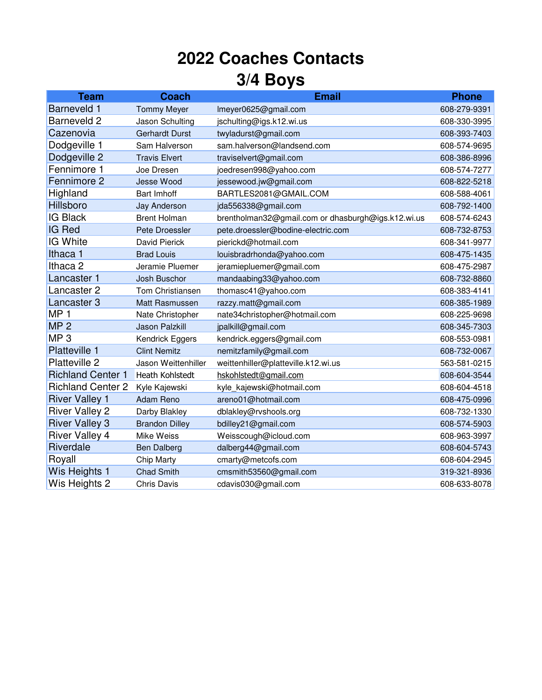## **2022 Coaches Contacts 3/4 Boys**

| <b>Team</b>              | <b>Coach</b>          | <b>Email</b>                                       | <b>Phone</b> |
|--------------------------|-----------------------|----------------------------------------------------|--------------|
| <b>Barneveld 1</b>       | <b>Tommy Meyer</b>    | Imeyer0625@gmail.com                               | 608-279-9391 |
| Barneveld 2              | Jason Schulting       | jschulting@igs.k12.wi.us                           | 608-330-3995 |
| Cazenovia                | <b>Gerhardt Durst</b> | twyladurst@gmail.com                               | 608-393-7403 |
| Dodgeville 1             | Sam Halverson         | sam.halverson@landsend.com                         | 608-574-9695 |
| Dodgeville 2             | <b>Travis Elvert</b>  | traviselvert@gmail.com                             | 608-386-8996 |
| Fennimore 1              | Joe Dresen            | joedresen998@yahoo.com                             | 608-574-7277 |
| Fennimore 2              | <b>Jesse Wood</b>     | jessewood.jw@gmail.com                             | 608-822-5218 |
| Highland                 | <b>Bart Imhoff</b>    | BARTLES2081@GMAIL.COM                              | 608-588-4061 |
| Hillsboro                | Jay Anderson          | jda556338@gmail.com                                | 608-792-1400 |
| <b>IG Black</b>          | <b>Brent Holman</b>   | brentholman32@gmail.com or dhasburgh@igs.k12.wi.us | 608-574-6243 |
| IG Red                   | Pete Droessler        | pete.droessler@bodine-electric.com                 | 608-732-8753 |
| IG White                 | David Pierick         | pierickd@hotmail.com                               | 608-341-9977 |
| Ithaca 1                 | <b>Brad Louis</b>     | louisbradrhonda@yahoo.com                          | 608-475-1435 |
| Ithaca <sub>2</sub>      | Jeramie Pluemer       | jeramiepluemer@gmail.com                           | 608-475-2987 |
| Lancaster 1              | Josh Buschor          | mandaabing33@yahoo.com                             | 608-732-8860 |
| Lancaster 2              | Tom Christiansen      | thomasc41@yahoo.com                                | 608-383-4141 |
| Lancaster 3              | Matt Rasmussen        | razzy.matt@gmail.com                               | 608-385-1989 |
| MP <sub>1</sub>          | Nate Christopher      | nate34christopher@hotmail.com                      | 608-225-9698 |
| MP <sub>2</sub>          | <b>Jason Palzkill</b> | jpalkill@gmail.com                                 | 608-345-7303 |
| MP <sub>3</sub>          | Kendrick Eggers       | kendrick.eggers@gmail.com                          | 608-553-0981 |
| <b>Platteville 1</b>     | <b>Clint Nemitz</b>   | nemitzfamily@gmail.com                             | 608-732-0067 |
| Platteville 2            | Jason Weittenhiller   | weittenhiller@platteville.k12.wi.us                | 563-581-0215 |
| <b>Richland Center 1</b> | Heath Kohlstedt       | hskohlstedt@gmail.com                              | 608-604-3544 |
| <b>Richland Center 2</b> | Kyle Kajewski         | kyle_kajewski@hotmail.com                          | 608-604-4518 |
| <b>River Valley 1</b>    | Adam Reno             | areno01@hotmail.com                                | 608-475-0996 |
| <b>River Valley 2</b>    | Darby Blakley         | dblakley@rvshools.org                              | 608-732-1330 |
| <b>River Valley 3</b>    | <b>Brandon Dilley</b> | bdilley21@gmail.com                                | 608-574-5903 |
| <b>River Valley 4</b>    | Mike Weiss            | Weisscough@icloud.com                              | 608-963-3997 |
| Riverdale                | <b>Ben Dalberg</b>    | dalberg44@gmail.com                                | 608-604-5743 |
| Royall                   | <b>Chip Marty</b>     | cmarty@metcofs.com                                 | 608-604-2945 |
| Wis Heights 1            | <b>Chad Smith</b>     | cmsmith53560@gmail.com                             | 319-321-8936 |
| Wis Heights 2            | <b>Chris Davis</b>    | cdavis030@gmail.com                                | 608-633-8078 |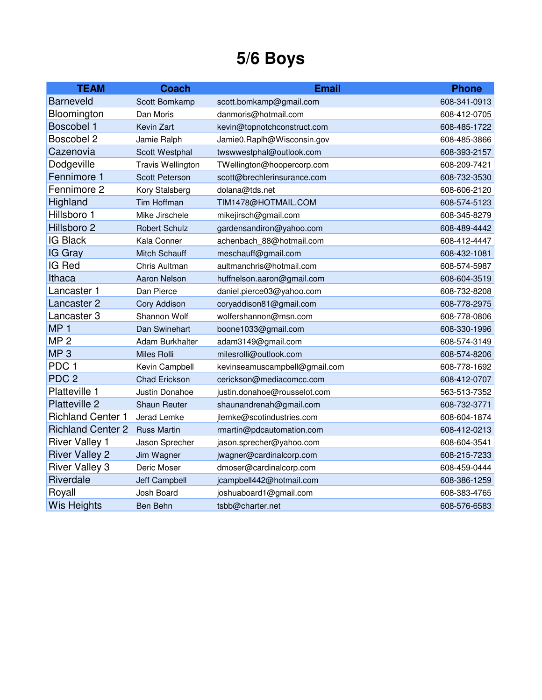## **5/6 Boys**

| <b>TEAM</b>              | <b>Coach</b>             | <b>Email</b>                  | <b>Phone</b> |
|--------------------------|--------------------------|-------------------------------|--------------|
| <b>Barneveld</b>         | Scott Bomkamp            | scott.bomkamp@gmail.com       | 608-341-0913 |
| Bloomington              | Dan Moris                | danmoris@hotmail.com          | 608-412-0705 |
| Boscobel 1               | Kevin Zart               | kevin@topnotchconstruct.com   | 608-485-1722 |
| Boscobel 2               | Jamie Ralph              | Jamie0.Raplh@Wisconsin.gov    | 608-485-3866 |
| Cazenovia                | Scott Westphal           | twswwestphal@outlook.com      | 608-393-2157 |
| Dodgeville               | <b>Travis Wellington</b> | TWellington@hoopercorp.com    | 608-209-7421 |
| Fennimore 1              | Scott Peterson           | scott@brechlerinsurance.com   | 608-732-3530 |
| Fennimore 2              | Kory Stalsberg           | dolana@tds.net                | 608-606-2120 |
| Highland                 | <b>Tim Hoffman</b>       | TIM1478@HOTMAIL.COM           | 608-574-5123 |
| Hillsboro 1              | Mike Jirschele           | mikejirsch@gmail.com          | 608-345-8279 |
| Hillsboro 2              | <b>Robert Schulz</b>     | gardensandiron@yahoo.com      | 608-489-4442 |
| <b>IG Black</b>          | Kala Conner              | achenbach 88@hotmail.com      | 608-412-4447 |
| IG Gray                  | Mitch Schauff            | meschauff@gmail.com           | 608-432-1081 |
| IG Red                   | Chris Aultman            | aultmanchris@hotmail.com      | 608-574-5987 |
| Ithaca                   | <b>Aaron Nelson</b>      | huffnelson.aaron@gmail.com    | 608-604-3519 |
| Lancaster 1              | Dan Pierce               | daniel.pierce03@yahoo.com     | 608-732-8208 |
| Lancaster 2              | Cory Addison             | coryaddison81@gmail.com       | 608-778-2975 |
| Lancaster 3              | Shannon Wolf             | wolfershannon@msn.com         | 608-778-0806 |
| MP <sub>1</sub>          | Dan Swinehart            | boone1033@gmail.com           | 608-330-1996 |
| MP <sub>2</sub>          | <b>Adam Burkhalter</b>   | adam3149@gmail.com            | 608-574-3149 |
| MP <sub>3</sub>          | Miles Rolli              | milesrolli@outlook.com        | 608-574-8206 |
| PDC <sub>1</sub>         | Kevin Campbell           | kevinseamuscampbell@gmail.com | 608-778-1692 |
| PDC <sub>2</sub>         | Chad Erickson            | cerickson@mediacomcc.com      | 608-412-0707 |
| Platteville 1            | Justin Donahoe           | justin.donahoe@rousselot.com  | 563-513-7352 |
| Platteville 2            | <b>Shaun Reuter</b>      | shaunandrenah@gmail.com       | 608-732-3771 |
| <b>Richland Center 1</b> | Jerad Lemke              | jlemke@scotindustries.com     | 608-604-1874 |
| <b>Richland Center 2</b> | <b>Russ Martin</b>       | rmartin@pdcautomation.com     | 608-412-0213 |
| <b>River Valley 1</b>    | Jason Sprecher           | jason.sprecher@yahoo.com      | 608-604-3541 |
| <b>River Valley 2</b>    | Jim Wagner               | jwagner@cardinalcorp.com      | 608-215-7233 |
| <b>River Valley 3</b>    | Deric Moser              | dmoser@cardinalcorp.com       | 608-459-0444 |
| Riverdale                | <b>Jeff Campbell</b>     | jcampbell442@hotmail.com      | 608-386-1259 |
| Royall                   | Josh Board               | joshuaboard1@gmail.com        | 608-383-4765 |
| <b>Wis Heights</b>       | Ben Behn                 | tsbb@charter.net              | 608-576-6583 |